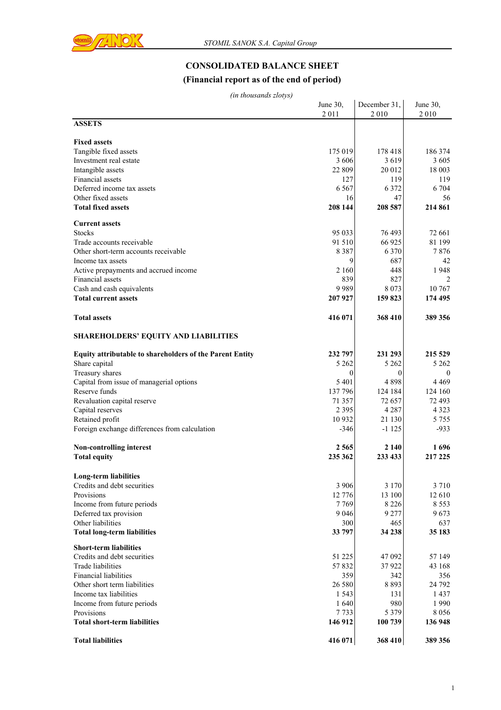

# **CONSOLIDATED BALANCE SHEET**

# **(Financial report as of the end of period)**

| (in thousands zlotys) |  |
|-----------------------|--|
|-----------------------|--|

| (in thousands zlotys)                                           |          |              |          |
|-----------------------------------------------------------------|----------|--------------|----------|
|                                                                 | June 30, | December 31, | June 30, |
|                                                                 | 2011     | 2010         | 2010     |
| <b>ASSETS</b>                                                   |          |              |          |
|                                                                 |          |              |          |
| <b>Fixed assets</b>                                             |          |              |          |
| Tangible fixed assets                                           | 175 019  | 178 418      | 186 374  |
| Investment real estate                                          | 3606     | 3619         | 3605     |
| Intangible assets                                               | 22 809   | 20 012       | 18 003   |
| Financial assets                                                | 127      | 119          | 119      |
| Deferred income tax assets                                      | 6 5 6 7  | 6 3 7 2      | 6 704    |
| Other fixed assets                                              | 16       | 47           | 56       |
| <b>Total fixed assets</b>                                       | 208 144  | 208 587      | 214 861  |
|                                                                 |          |              |          |
| <b>Current assets</b>                                           |          |              |          |
| <b>Stocks</b>                                                   | 95 033   | 76 493       | 72 661   |
| Trade accounts receivable                                       | 91 510   | 66 925       | 81 199   |
| Other short-term accounts receivable                            | 8 3 8 7  | 6 3 7 0      | 7876     |
| Income tax assets                                               | 9        | 687          | 42       |
| Active prepayments and accrued income                           | 2 160    | 448          | 1948     |
| Financial assets                                                | 839      | 827          | 2        |
|                                                                 | 9989     |              | 10 767   |
| Cash and cash equivalents                                       |          | 8 0 7 3      |          |
| <b>Total current assets</b>                                     | 207 927  | 159 823      | 174 495  |
|                                                                 |          |              |          |
| <b>Total assets</b>                                             | 416 071  | 368 410      | 389 356  |
|                                                                 |          |              |          |
| <b>SHAREHOLDERS' EQUITY AND LIABILITIES</b>                     |          |              |          |
|                                                                 | 232 797  | 231 293      | 215 529  |
| <b>Equity attributable to shareholders of the Parent Entity</b> |          |              |          |
| Share capital                                                   | 5 2 6 2  | 5 2 6 2      | 5 2 6 2  |
| Treasury shares                                                 | $\theta$ | 0            | $\theta$ |
| Capital from issue of managerial options                        | 5 4 0 1  | 4898         | 4 4 6 9  |
| Reserve funds                                                   | 137 796  | 124 184      | 124 160  |
| Revaluation capital reserve                                     | 71 357   | 72 657       | 72 493   |
| Capital reserves                                                | 2 3 9 5  | 4 2 8 7      | 4 3 2 3  |
| Retained profit                                                 | 10 9 32  | 21 130       | 5 7 5 5  |
| Foreign exchange differences from calculation                   | $-346$   | $-1125$      | $-933$   |
|                                                                 |          |              |          |
| Non-controlling interest                                        | 2 5 6 5  | 2 140        | 1696     |
| <b>Total equity</b>                                             | 235 362  | 233 433      | 217 225  |
|                                                                 |          |              |          |
| <b>Long-term liabilities</b>                                    |          |              |          |
| Credits and debt securities                                     | 3 9 0 6  | 3 1 7 0      | 3 7 1 0  |
| Provisions                                                      | 12 776   | 13 100       | 12 610   |
| Income from future periods                                      | 7769     | 8 2 2 6      | 8 5 5 3  |
| Deferred tax provision                                          | 9 0 4 6  | 9 2 7 7      | 9673     |
| Other liabilities                                               | 300      | 465          | 637      |
| <b>Total long-term liabilities</b>                              | 33 797   | 34 238       | 35 183   |
|                                                                 |          |              |          |
| <b>Short-term liabilities</b>                                   |          |              |          |
| Credits and debt securities                                     | 51 225   | 47 092       | 57 149   |
| Trade liabilities                                               | 57832    | 37922        | 43 168   |
| <b>Financial liabilities</b>                                    | 359      | 342          | 356      |
| Other short term liabilities                                    | 26 580   | 8 8 9 3      | 24 792   |
| Income tax liabilities                                          | 1 5 4 3  | 131          | 1437     |
| Income from future periods                                      | 1640     | 980          | 1990     |
| Provisions                                                      | 7733     | 5 3 7 9      | 8 0 5 6  |
| <b>Total short-term liabilities</b>                             | 146 912  | 100 739      | 136 948  |
|                                                                 |          |              |          |
| <b>Total liabilities</b>                                        | 416 071  | 368 410      | 389 356  |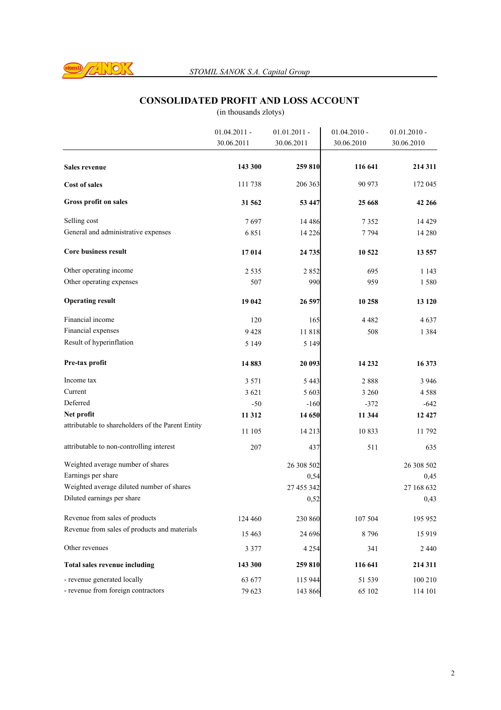

# **CONSOLIDATED PROFIT AND LOSS ACCOUNT**

|                                                   | $01.04.2011 -$ | $01.01.2011 -$ | $01.04.2010 -$ | $01.01.2010 -$ |
|---------------------------------------------------|----------------|----------------|----------------|----------------|
|                                                   | 30.06.2011     | 30.06.2011     | 30.06.2010     | 30.06.2010     |
| <b>Sales revenue</b>                              | 143 300        | 259 810        | 116 641        | 214 311        |
| <b>Cost of sales</b>                              | 111 738        | 206 363        | 90 973         | 172 045        |
| Gross profit on sales                             | 31 562         | 53 447         | 25 668         | 42 266         |
| Selling cost                                      | 7697           | 14 4 8 6       | 7352           | 14 4 29        |
| General and administrative expenses               | 6851           | 14 2 26        | 7794           | 14 280         |
| <b>Core business result</b>                       | 17014          | 24 735         | 10 522         | 13 557         |
| Other operating income                            | 2 5 3 5        | 2852           | 695            | 1 143          |
| Other operating expenses                          | 507            | 990            | 959            | 1580           |
| <b>Operating result</b>                           | 19 042         | 26 597         | 10 258         | 13 120         |
| Financial income                                  | 120            | 165            | 4 4 8 2        | 4 637          |
| Financial expenses                                | 9428           | 11818          | 508            | 1 3 8 4        |
| Result of hyperinflation                          | 5 1 4 9        | 5 1 4 9        |                |                |
| Pre-tax profit                                    | 14883          | 20 093         | 14 232         | 16 373         |
| Income tax                                        | 3 5 7 1        | 5443           | 2888           | 3 9 4 6        |
| Current                                           | 3 6 2 1        | 5 603          | 3 260          | 4 5 8 8        |
| Deferred                                          | $-50$          | $-160$         | $-372$         | -642           |
| Net profit                                        | 11 312         | 14 650         | 11 344         | 12 4 27        |
| attributable to shareholders of the Parent Entity | 11 105         | 14 2 13        | 10833          | 11 792         |
| attributable to non-controlling interest          | 207            | 437            | 511            | 635            |
| Weighted average number of shares                 |                | 26 308 502     |                | 26 308 502     |
| Earnings per share                                |                | 0,54           |                | 0,45           |
| Weighted average diluted number of shares         |                | 27 455 342     |                | 27 168 632     |
| Diluted earnings per share                        |                | 0,52           |                | 0,43           |
| Revenue from sales of products                    | 124 460        | 230 860        | 107 504        | 195 952        |
| Revenue from sales of products and materials      | 15 4 63        | 24 69 6        | 8796           | 15919          |
| Other revenues                                    | 3 3 7 7        | 4 2 5 4        | 341            | 2440           |
| <b>Total sales revenue including</b>              | 143 300        | 259 810        | 116 641        | 214 311        |
| - revenue generated locally                       | 63 677         | 115 944        | 51 539         | 100 210        |
| - revenue from foreign contractors                | 79 623         | 143 866        | 65 102         | 114 101        |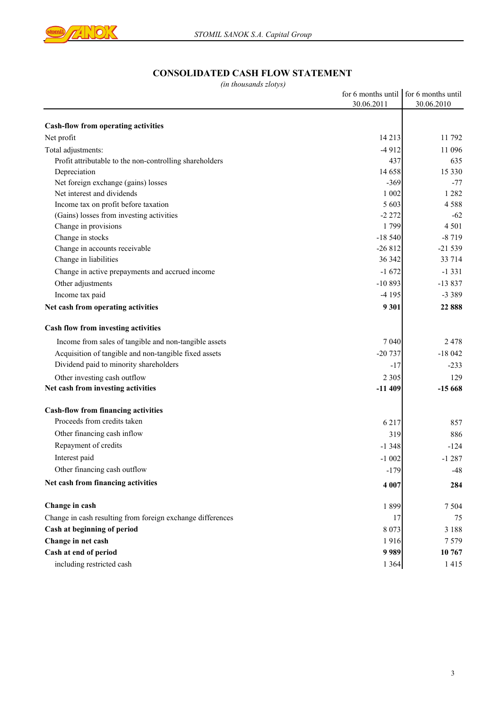

## **CONSOLIDATED CASH FLOW STATEMENT**

| (in thousanas ziotys)                                      |            |                                       |
|------------------------------------------------------------|------------|---------------------------------------|
|                                                            |            | for 6 months until for 6 months until |
|                                                            | 30.06.2011 | 30.06.2010                            |
| <b>Cash-flow from operating activities</b>                 |            |                                       |
| Net profit                                                 | 14 2 13    | 11 792                                |
| Total adjustments:                                         | $-4912$    | 11 096                                |
| Profit attributable to the non-controlling shareholders    | 437        | 635                                   |
| Depreciation                                               | 14 658     | 15 3 3 0                              |
| Net foreign exchange (gains) losses                        | $-369$     | $-77$                                 |
| Net interest and dividends                                 | 1 0 0 2    | 1 2 8 2                               |
| Income tax on profit before taxation                       | 5 603      | 4588                                  |
| (Gains) losses from investing activities                   | $-2272$    | $-62$                                 |
| Change in provisions                                       | 1799       | 4 5 0 1                               |
| Change in stocks                                           | $-18540$   | $-8719$                               |
| Change in accounts receivable                              | $-26812$   | $-21539$                              |
| Change in liabilities                                      | 36 342     | 33 714                                |
| Change in active prepayments and accrued income            | $-1672$    | $-1331$                               |
| Other adjustments                                          | $-10893$   | $-13837$                              |
| Income tax paid                                            | $-4195$    | $-3389$                               |
| Net cash from operating activities                         | 9 3 0 1    | 22 888                                |
| Cash flow from investing activities                        |            |                                       |
| Income from sales of tangible and non-tangible assets      | 7 0 4 0    | 2478                                  |
| Acquisition of tangible and non-tangible fixed assets      | $-20737$   | $-18042$                              |
| Dividend paid to minority shareholders                     | $-17$      | $-233$                                |
| Other investing cash outflow                               | 2 3 0 5    | 129                                   |
| Net cash from investing activities                         | $-11409$   | $-15668$                              |
| <b>Cash-flow from financing activities</b>                 |            |                                       |
| Proceeds from credits taken                                | 6 2 1 7    | 857                                   |
| Other financing cash inflow                                | 319        | 886                                   |
| Repayment of credits                                       | $-1348$    | $-124$                                |
| Interest paid                                              | $-1002$    | $-1287$                               |
| Other financing cash outflow                               | $-179$     | $-48$                                 |
| Net cash from financing activities                         | 4 007      | 284                                   |
| Change in cash                                             | 1899       | 7 5 0 4                               |
| Change in cash resulting from foreign exchange differences | 17         | 75                                    |
| Cash at beginning of period                                | 8 0 7 3    | 3 1 8 8                               |
| Change in net cash                                         | 1916       | 7579                                  |
| Cash at end of period                                      | 9989       | 10 767                                |
| including restricted cash                                  | 1 3 6 4    | 1415                                  |
|                                                            |            |                                       |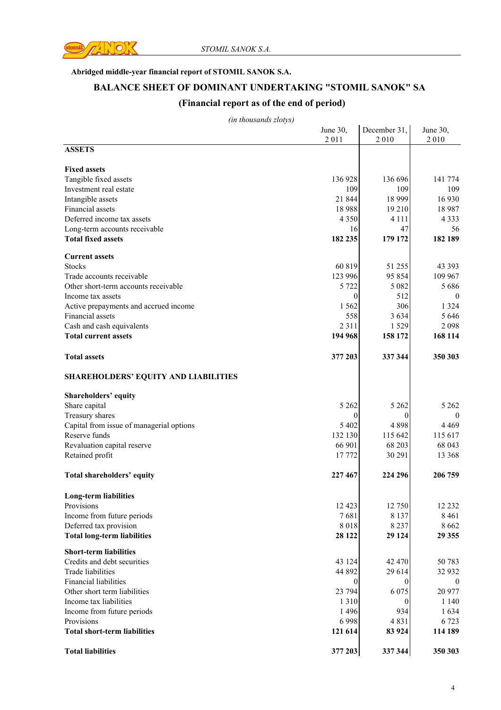

#### **Abridged middle-year financial report of STOMIL SANOK S.A.**

# **BALANCE SHEET OF DOMINANT UNDERTAKING "STOMIL SANOK" SA**

### **(Financial report as of the end of period)**

|                                             | June 30,       | December 31, | June 30,         |
|---------------------------------------------|----------------|--------------|------------------|
|                                             | 2011           | 2010         | 2010             |
| <b>ASSETS</b>                               |                |              |                  |
|                                             |                |              |                  |
| <b>Fixed assets</b>                         |                |              |                  |
| Tangible fixed assets                       | 136 928        | 136 696      | 141 774          |
| Investment real estate                      | 109            | 109          | 109              |
| Intangible assets                           | 21 844         | 18 9 9 9     | 16 9 30          |
| Financial assets                            | 18988          | 19 210       | 18 9 87          |
| Deferred income tax assets                  | 4 3 5 0        | 4 1 1 1      | 4 3 3 3          |
| Long-term accounts receivable               | 16             | 47           | 56               |
| <b>Total fixed assets</b>                   | 182 235        | 179 172      | 182 189          |
| <b>Current assets</b>                       |                |              |                  |
| <b>Stocks</b>                               | 60 819         | 51 255       | 43 3 93          |
|                                             |                |              |                  |
| Trade accounts receivable                   | 123 996        | 95 854       | 109 967          |
| Other short-term accounts receivable        | 5 7 2 2        | 5 0 8 2      | 5 6 8 6          |
| Income tax assets                           | 0              | 512          | $\boldsymbol{0}$ |
| Active prepayments and accrued income       | 1 5 6 2        | 306          | 1 3 2 4          |
| Financial assets                            | 558            | 3 6 3 4      | 5 6 4 6          |
| Cash and cash equivalents                   | 2 3 1 1        | 1529         | 2098             |
| <b>Total current assets</b>                 | 194 968        | 158 172      | 168 114          |
| <b>Total assets</b>                         | 377 203        | 337 344      | 350 303          |
|                                             |                |              |                  |
| <b>SHAREHOLDERS' EQUITY AND LIABILITIES</b> |                |              |                  |
| Shareholders' equity                        |                |              |                  |
| Share capital                               | 5 2 6 2        | 5 2 6 2      | 5 2 6 2          |
| Treasury shares                             | 0              | 0            | $\theta$         |
| Capital from issue of managerial options    | 5 4 0 2        | 4898         | 4 4 6 9          |
| Reserve funds                               | 132 130        | 115 642      | 115 617          |
| Revaluation capital reserve                 | 66 901         | 68 203       | 68 043           |
| Retained profit                             | 17 772         | 30 291       | 13 3 68          |
|                                             |                |              |                  |
| Total shareholders' equity                  | 227 467        | 224 296      | 206 759          |
| Long-term liabilities                       |                |              |                  |
| Provisions                                  | 12 4 23        | 12 750       | 12 23 2          |
| Income from future periods                  | 7681           | 8 1 3 7      | 8 4 6 1          |
| Deferred tax provision                      | 8018           | 8 2 3 7      | 8 6 6 2          |
| <b>Total long-term liabilities</b>          | 28 122         | 29 124       | 29 355           |
|                                             |                |              |                  |
| <b>Short-term liabilities</b>               |                |              |                  |
| Credits and debt securities                 | 43 124         | 42 470       | 50 783           |
| Trade liabilities                           | 44 892         | 29 614       | 32 932           |
| <b>Financial liabilities</b>                | $\overline{0}$ | $\theta$     | $\boldsymbol{0}$ |
| Other short term liabilities                | 23 794         | 6 0 7 5      | 20 977           |
| Income tax liabilities                      | 1 3 1 0        | $\Omega$     | 1 1 4 0          |
| Income from future periods                  | 1 4 9 6        | 934          | 1634             |
| Provisions                                  | 6998           | 4831         | 6 7 23           |
| <b>Total short-term liabilities</b>         | 121 614        | 83 924       | 114 189          |
|                                             |                |              |                  |
| <b>Total liabilities</b>                    | 377 203        | 337 344      | 350 303          |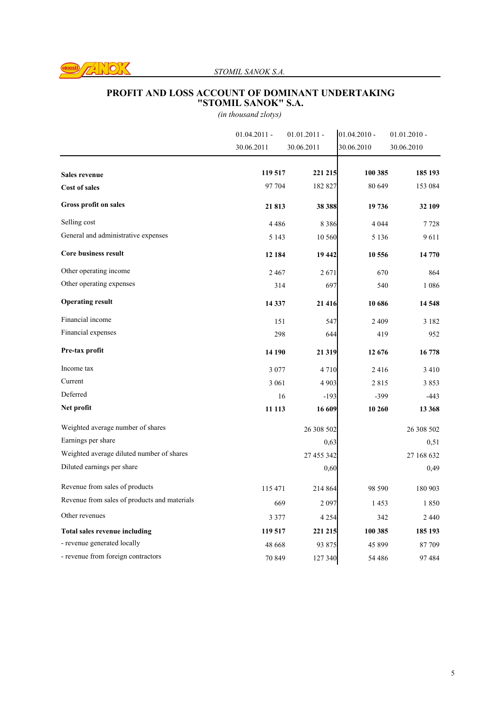

### *STOMIL SANOK S.A.*

#### **PROFIT AND LOSS ACCOUNT OF DOMINANT UNDERTAKING "STOMIL SANOK" S.A.**

|                                              | $01.04.2011 -$ | $01.01.2011 -$ | $01.04.2010 -$ | $01.01.2010 -$ |
|----------------------------------------------|----------------|----------------|----------------|----------------|
|                                              | 30.06.2011     | 30.06.2011     | 30.06.2010     | 30.06.2010     |
| <b>Sales revenue</b>                         | 119 517        | 221 215        | 100 385        | 185 193        |
|                                              | 97 704         | 182 827        | 80 649         | 153 084        |
| <b>Cost of sales</b>                         |                |                |                |                |
| Gross profit on sales                        | 21813          | 38 388         | 19 736         | 32 109         |
| Selling cost                                 | 4486           | 8 3 8 6        | 4 0 4 4        | 7728           |
| General and administrative expenses          | 5 1 4 3        | 10 560         | 5 1 3 6        | 9611           |
| <b>Core business result</b>                  | 12 184         | 19 442         | 10 556         | 14 770         |
| Other operating income                       | 2467           | 2671           | 670            | 864            |
| Other operating expenses                     | 314            | 697            | 540            | 1 0 8 6        |
| <b>Operating result</b>                      | 14 3 37        | 21 4 16        | 10 686         | 14 548         |
| Financial income                             | 151            | 547            | 2 4 0 9        | 3 1 8 2        |
| Financial expenses                           | 298            | 644            | 419            | 952            |
| Pre-tax profit                               | 14 190         | 21 3 19        | 12 676         | 16778          |
| Income tax                                   | 3 0 7 7        | 4710           | 2416           | 3 4 1 0        |
| Current                                      | 3 0 6 1        | 4 9 0 3        | 2815           | 3853           |
| Deferred                                     | 16             | $-193$         | $-399$         | $-443$         |
| Net profit                                   | 11 113         | 16 609         | 10 260         | 13 368         |
| Weighted average number of shares            |                | 26 308 502     |                | 26 308 502     |
| Earnings per share                           |                | 0,63           |                | 0,51           |
| Weighted average diluted number of shares    |                | 27 455 342     |                | 27 168 632     |
| Diluted earnings per share                   |                | 0,60           |                | 0,49           |
| Revenue from sales of products               | 115 471        | 214 864        | 98 590         | 180 903        |
| Revenue from sales of products and materials | 669            | 2097           | 1453           | 1850           |
| Other revenues                               | 3 3 7 7        | 4 2 5 4        | 342            | 2440           |
| <b>Total sales revenue including</b>         | 119 517        | 221 215        | 100 385        | 185 193        |
| - revenue generated locally                  | 48 6 68        | 93 875         | 45 899         | 87 709         |
| - revenue from foreign contractors           | 70 849         | 127 340        | 54 48 6        | 97484          |